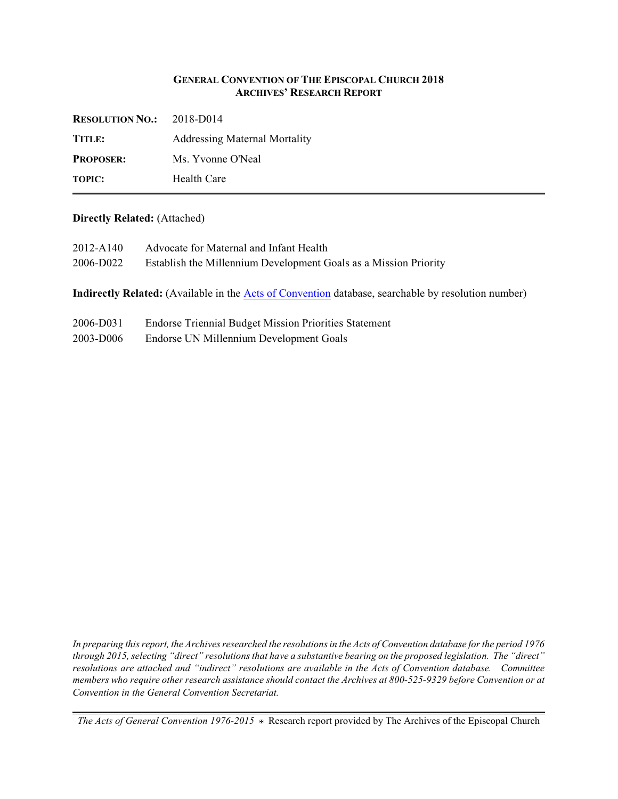## **GENERAL CONVENTION OF THE EPISCOPAL CHURCH 2018 ARCHIVES' RESEARCH REPORT**

| <b>RESOLUTION NO.:</b> | 2018-D014                            |
|------------------------|--------------------------------------|
| TITLE:                 | <b>Addressing Maternal Mortality</b> |
| <b>PROPOSER:</b>       | Ms. Yvonne O'Neal                    |
| <b>TOPIC:</b>          | Health Care                          |

## **Directly Related:** (Attached)

|           | <b>Indirectly Related:</b> (Available in the Acts of Convention database, searchable by resolution number) |
|-----------|------------------------------------------------------------------------------------------------------------|
| 2006-D022 | Establish the Millennium Development Goals as a Mission Priority                                           |
| 2012-A140 | Advocate for Maternal and Infant Health                                                                    |
|           |                                                                                                            |

- 2006-D031 Endorse Triennial Budget Mission Priorities Statement
- 2003-D006 Endorse UN Millennium Development Goals

*In preparing this report, the Archives researched the resolutions in the Acts of Convention database for the period 1976 through 2015, selecting "direct" resolutions that have a substantive bearing on the proposed legislation. The "direct" resolutions are attached and "indirect" resolutions are available in the Acts of Convention database. Committee members who require other research assistance should contact the Archives at 800-525-9329 before Convention or at Convention in the General Convention Secretariat.*

*The Acts of General Convention 1976-2015* a Research report provided by The Archives of the Episcopal Church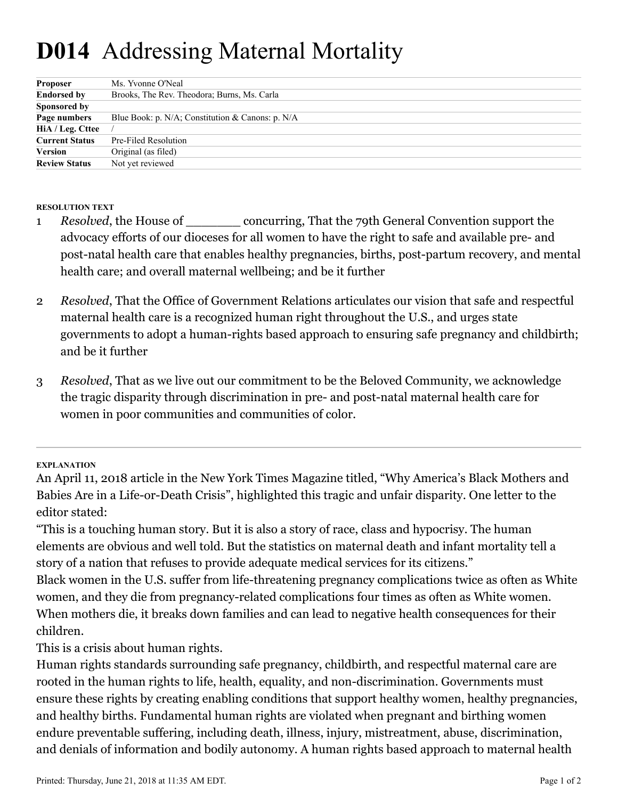## **D014** Addressing Maternal Mortality

| <b>Proposer</b>       | Ms. Yvonne O'Neal                                |
|-----------------------|--------------------------------------------------|
| <b>Endorsed by</b>    | Brooks, The Rev. Theodora; Burns, Ms. Carla      |
| Sponsored by          |                                                  |
| Page numbers          | Blue Book: p. N/A; Constitution & Canons: p. N/A |
| HiA / Leg. Cttee      |                                                  |
| <b>Current Status</b> | Pre-Filed Resolution                             |
| Version               | Original (as filed)                              |
| <b>Review Status</b>  | Not yet reviewed                                 |

**RESOLUTION TEXT**

- *Resolved*, the House of \_\_\_\_\_\_\_\_ concurring, That the 79th General Convention support the advocacy efforts of our dioceses for all women to have the right to safe and available pre- and post-natal health care that enables healthy pregnancies, births, post-partum recovery, and mental health care; and overall maternal wellbeing; and be it further 1
- *Resolved*, That the Office of Government Relations articulates our vision that safe and respectful maternal health care is a recognized human right throughout the U.S., and urges state governments to adopt a human-rights based approach to ensuring safe pregnancy and childbirth; and be it further 2
- *Resolved*, That as we live out our commitment to be the Beloved Community, we acknowledge the tragic disparity through discrimination in pre- and post-natal maternal health care for women in poor communities and communities of color. 3

**EXPLANATION**

"This is a touching human story. But it is also a story of race, class and hypocrisy. The human elements are obvious and well told. But the statistics on maternal death and infant mortality tell a story of a nation that refuses to provide adequate medical services for its citizens."

Black women in the U.S. suffer from life-threatening pregnancy complications twice as often as White women, and they die from pregnancy-related complications four times as often as White women. When mothers die, it breaks down families and can lead to negative health consequences for their children.

This is a crisis about human rights.

Human rights standards surrounding safe pregnancy, childbirth, and respectful maternal care are rooted in the human rights to life, health, equality, and non-discrimination. Governments must ensure these rights by creating enabling conditions that support healthy women, healthy pregnancies, and healthy births. Fundamental human rights are violated when pregnant and birthing women endure preventable suffering, including death, illness, injury, mistreatment, abuse, discrimination, and denials of information and bodily autonomy. A human rights based approach to maternal health

An April 11, 2018 article in the New York Times Magazine titled, "Why America's Black Mothers and Babies Are in a Life-or-Death Crisis", highlighted this tragic and unfair disparity. One letter to the editor stated: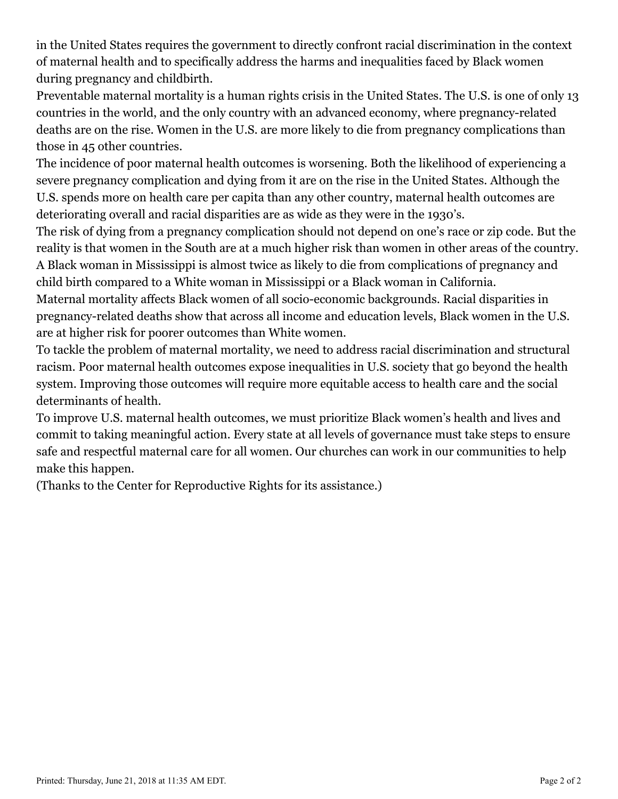in the United States requires the government to directly confront racial discrimination in the context of maternal health and to specifically address the harms and inequalities faced by Black women during pregnancy and childbirth.

Preventable maternal mortality is a human rights crisis in the United States. The U.S. is one of only 13 countries in the world, and the only country with an advanced economy, where pregnancy-related deaths are on the rise. Women in the U.S. are more likely to die from pregnancy complications than those in 45 other countries.

The incidence of poor maternal health outcomes is worsening. Both the likelihood of experiencing a severe pregnancy complication and dying from it are on the rise in the United States. Although the U.S. spends more on health care per capita than any other country, maternal health outcomes are deteriorating overall and racial disparities are as wide as they were in the 1930's.

The risk of dying from a pregnancy complication should not depend on one's race or zip code. But the reality is that women in the South are at a much higher risk than women in other areas of the country. A Black woman in Mississippi is almost twice as likely to die from complications of pregnancy and child birth compared to a White woman in Mississippi or a Black woman in California.

Maternal mortality affects Black women of all socio-economic backgrounds. Racial disparities in pregnancy-related deaths show that across all income and education levels, Black women in the U.S. are at higher risk for poorer outcomes than White women.

To tackle the problem of maternal mortality, we need to address racial discrimination and structural racism. Poor maternal health outcomes expose inequalities in U.S. society that go beyond the health system. Improving those outcomes will require more equitable access to health care and the social determinants of health.

To improve U.S. maternal health outcomes, we must prioritize Black women's health and lives and commit to taking meaningful action. Every state at all levels of governance must take steps to ensure safe and respectful maternal care for all women. Our churches can work in our communities to help make this happen.

(Thanks to the Center for Reproductive Rights for its assistance.)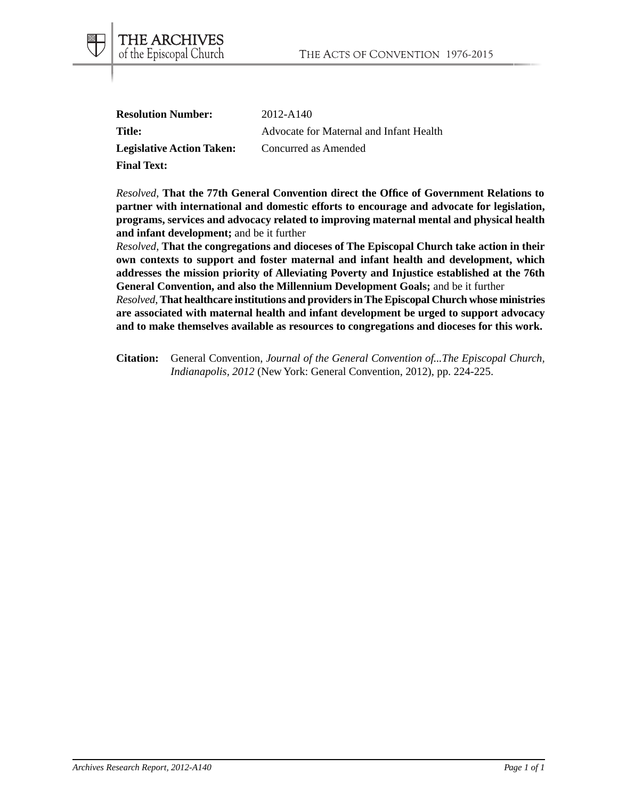| <b>Resolution Number:</b>        | 2012-A140                               |
|----------------------------------|-----------------------------------------|
| <b>Title:</b>                    | Advocate for Maternal and Infant Health |
| <b>Legislative Action Taken:</b> | Concurred as Amended                    |
| <b>Final Text:</b>               |                                         |

THE ARCHIVES of the Episcopal Church

*Resolved*, **That the 77th General Convention direct the Office of Government Relations to partner with international and domestic efforts to encourage and advocate for legislation, programs, services and advocacy related to improving maternal mental and physical health and infant development;** and be it further

*Resolved*, **That the congregations and dioceses of The Episcopal Church take action in their own contexts to support and foster maternal and infant health and development, which addresses the mission priority of Alleviating Poverty and Injustice established at the 76th General Convention, and also the Millennium Development Goals;** and be it further *Resolved*, **That healthcare institutions and providers in The Episcopal Church whose ministries**

**are associated with maternal health and infant development be urged to support advocacy and to make themselves available as resources to congregations and dioceses for this work.**

**Citation:** General Convention, *Journal of the General Convention of...The Episcopal Church, Indianapolis, 2012* (New York: General Convention, 2012), pp. 224-225.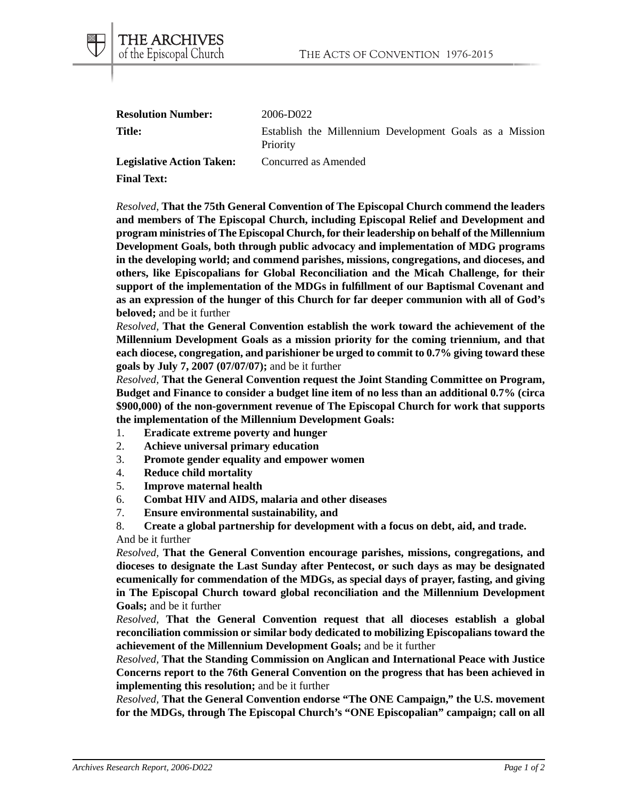|   | <b>THE ARCHIVES</b>     |  |
|---|-------------------------|--|
| 1 | of the Episcopal Church |  |

| <b>Resolution Number:</b>        | 2006-D022                                                           |
|----------------------------------|---------------------------------------------------------------------|
| Title:                           | Establish the Millennium Development Goals as a Mission<br>Priority |
| <b>Legislative Action Taken:</b> | Concurred as Amended                                                |

**Final Text:**

*Resolved*, **That the 75th General Convention of The Episcopal Church commend the leaders and members of The Episcopal Church, including Episcopal Relief and Development and program ministries of The Episcopal Church, for their leadership on behalf of the Millennium Development Goals, both through public advocacy and implementation of MDG programs in the developing world; and commend parishes, missions, congregations, and dioceses, and others, like Episcopalians for Global Reconciliation and the Micah Challenge, for their support of the implementation of the MDGs in fulfillment of our Baptismal Covenant and as an expression of the hunger of this Church for far deeper communion with all of God's beloved;** and be it further

*Resolved,* **That the General Convention establish the work toward the achievement of the Millennium Development Goals as a mission priority for the coming triennium, and that each diocese, congregation, and parishioner be urged to commit to 0.7% giving toward these goals by July 7, 2007 (07/07/07);** and be it further

*Resolved,* **That the General Convention request the Joint Standing Committee on Program, Budget and Finance to consider a budget line item of no less than an additional 0.7% (circa \$900,000) of the non-government revenue of The Episcopal Church for work that supports the implementation of the Millennium Development Goals:**

- 1. **Eradicate extreme poverty and hunger**
- 2. **Achieve universal primary education**
- 3. **Promote gender equality and empower women**
- 4. **Reduce child mortality**
- 5. **Improve maternal health**
- 6. **Combat HIV and AIDS, malaria and other diseases**
- 7. **Ensure environmental sustainability, and**

8. **Create a global partnership for development with a focus on debt, aid, and trade.** And be it further

*Resolved,* **That the General Convention encourage parishes, missions, congregations, and dioceses to designate the Last Sunday after Pentecost, or such days as may be designated ecumenically for commendation of the MDGs, as special days of prayer, fasting, and giving in The Episcopal Church toward global reconciliation and the Millennium Development Goals;** and be it further

*Resolved,* **That the General Convention request that all dioceses establish a global reconciliation commission or similar body dedicated to mobilizing Episcopalians toward the achievement of the Millennium Development Goals;** and be it further

*Resolved,* **That the Standing Commission on Anglican and International Peace with Justice Concerns report to the 76th General Convention on the progress that has been achieved in implementing this resolution;** and be it further

*Resolved,* **That the General Convention endorse "The ONE Campaign," the U.S. movement for the MDGs, through The Episcopal Church's "ONE Episcopalian" campaign; call on all**